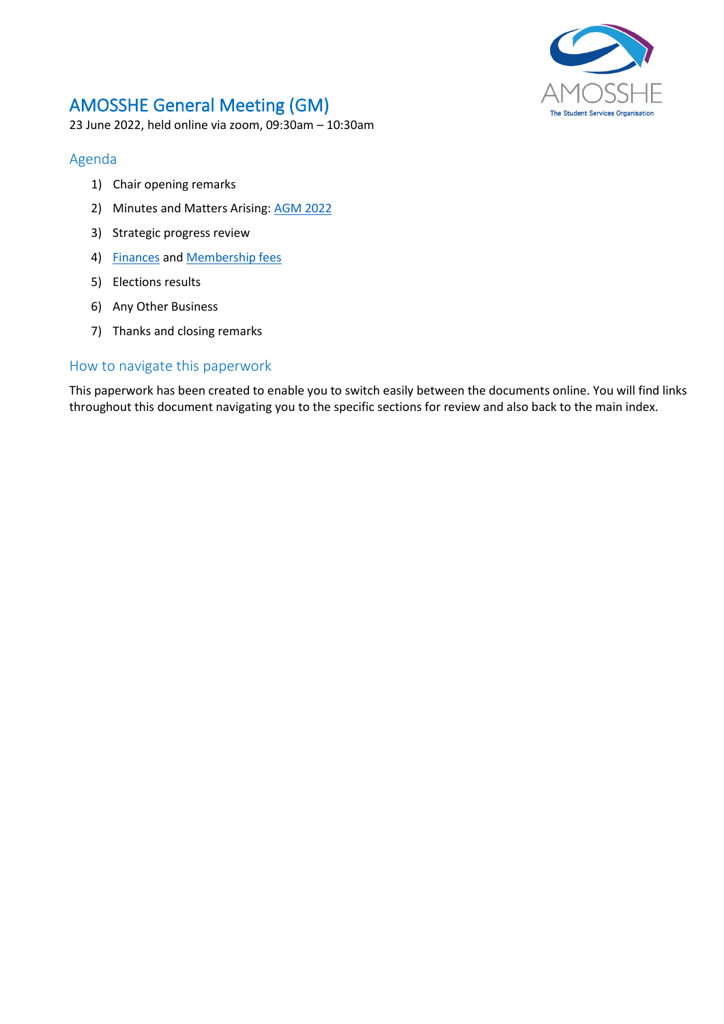

# AMOSSHE General Meeting (GM)

23 June 2022, held online via zoom, 09:30am – 10:30am

# <span id="page-0-1"></span><span id="page-0-0"></span>Agenda

- 1) Chair opening remarks
- 2) Minutes and Matters Arising[: AGM 2022](#page-1-0)
- 3) Strategic progress review
- 4) [Finances](#page-4-0) and [Membership fees](#page-5-0)
- 5) Elections results
- 6) Any Other Business
- 7) Thanks and closing remarks

# How to navigate this paperwork

This paperwork has been created to enable you to switch easily between the documents online. You will find links throughout this document navigating you to the specific sections for review and also back to the main index.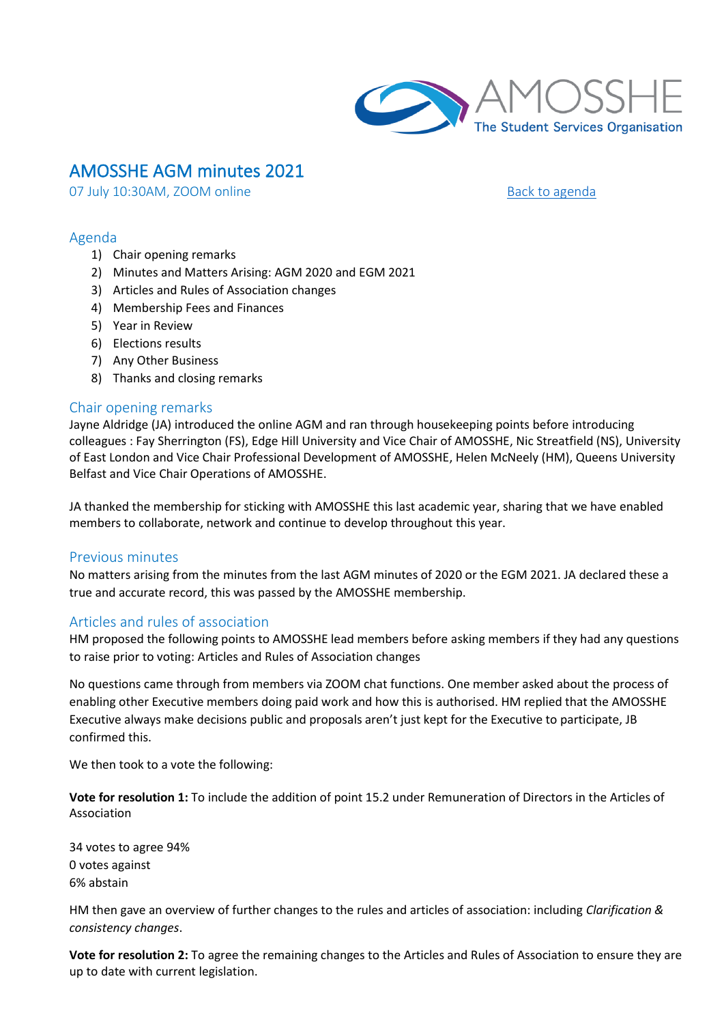

# <span id="page-1-0"></span>AMOSSHE AGM minutes 2021

07 July 10:30AM, ZOOM online [Back to agenda](#page-0-0)

### Agenda

- 1) Chair opening remarks
- 2) Minutes and Matters Arising: AGM 2020 and EGM 2021
- 3) Articles and Rules of Association changes
- 4) Membership Fees and Finances
- 5) Year in Review
- 6) Elections results
- 7) Any Other Business
- 8) Thanks and closing remarks

# Chair opening remarks

Jayne Aldridge (JA) introduced the online AGM and ran through housekeeping points before introducing colleagues : Fay Sherrington (FS), Edge Hill University and Vice Chair of AMOSSHE, Nic Streatfield (NS), University of East London and Vice Chair Professional Development of AMOSSHE, Helen McNeely (HM), Queens University Belfast and Vice Chair Operations of AMOSSHE.

JA thanked the membership for sticking with AMOSSHE this last academic year, sharing that we have enabled members to collaborate, network and continue to develop throughout this year.

# Previous minutes

No matters arising from the minutes from the last AGM minutes of 2020 or the EGM 2021. JA declared these a true and accurate record, this was passed by the AMOSSHE membership.

# Articles and rules of association

HM proposed the following points to AMOSSHE lead members before asking members if they had any questions to raise prior to voting: Articles and Rules of Association changes

No questions came through from members via ZOOM chat functions. One member asked about the process of enabling other Executive members doing paid work and how this is authorised. HM replied that the AMOSSHE Executive always make decisions public and proposals aren't just kept for the Executive to participate, JB confirmed this.

We then took to a vote the following:

**Vote for resolution 1:** To include the addition of point 15.2 under Remuneration of Directors in the Articles of Association

34 votes to agree 94% 0 votes against 6% abstain

HM then gave an overview of further changes to the rules and articles of association: including *Clarification & consistency changes*.

**Vote for resolution 2:** To agree the remaining changes to the Articles and Rules of Association to ensure they are up to date with current legislation.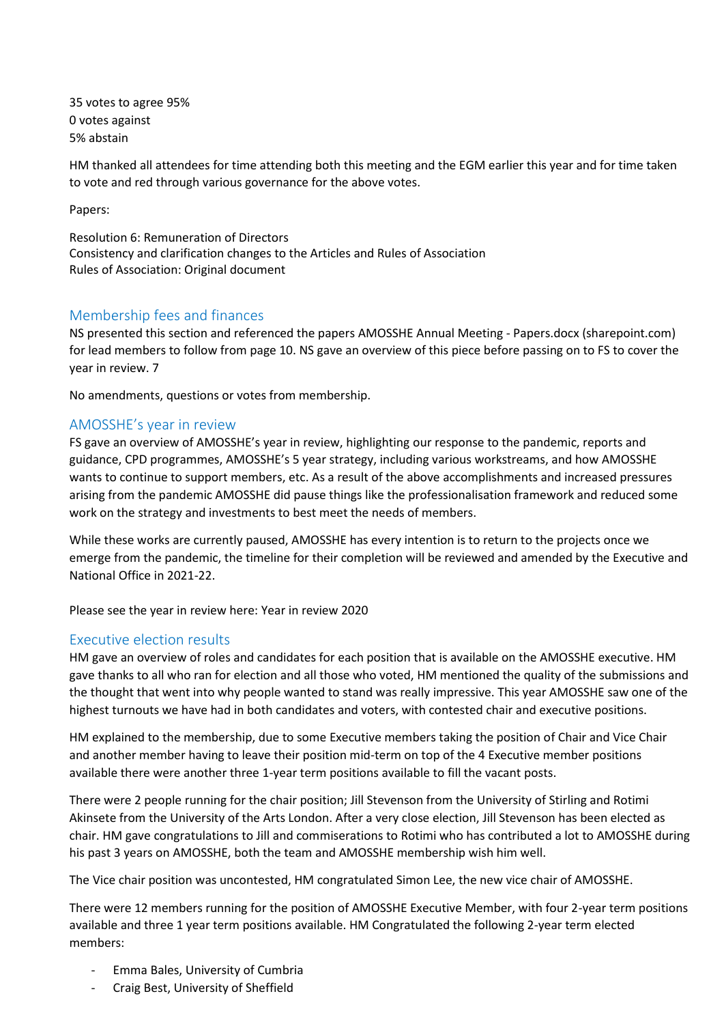35 votes to agree 95% 0 votes against 5% abstain

HM thanked all attendees for time attending both this meeting and the EGM earlier this year and for time taken to vote and red through various governance for the above votes.

Papers:

Resolution 6: Remuneration of Directors Consistency and clarification changes to the Articles and Rules of Association Rules of Association: Original document

# Membership fees and finances

NS presented this section and referenced the papers AMOSSHE Annual Meeting - Papers.docx (sharepoint.com) for lead members to follow from page 10. NS gave an overview of this piece before passing on to FS to cover the year in review. 7

No amendments, questions or votes from membership.

# AMOSSHE's year in review

FS gave an overview of AMOSSHE's year in review, highlighting our response to the pandemic, reports and guidance, CPD programmes, AMOSSHE's 5 year strategy, including various workstreams, and how AMOSSHE wants to continue to support members, etc. As a result of the above accomplishments and increased pressures arising from the pandemic AMOSSHE did pause things like the professionalisation framework and reduced some work on the strategy and investments to best meet the needs of members.

While these works are currently paused, AMOSSHE has every intention is to return to the projects once we emerge from the pandemic, the timeline for their completion will be reviewed and amended by the Executive and National Office in 2021-22.

Please see the year in review here: Year in review 2020

# Executive election results

HM gave an overview of roles and candidates for each position that is available on the AMOSSHE executive. HM gave thanks to all who ran for election and all those who voted, HM mentioned the quality of the submissions and the thought that went into why people wanted to stand was really impressive. This year AMOSSHE saw one of the highest turnouts we have had in both candidates and voters, with contested chair and executive positions.

HM explained to the membership, due to some Executive members taking the position of Chair and Vice Chair and another member having to leave their position mid-term on top of the 4 Executive member positions available there were another three 1-year term positions available to fill the vacant posts.

There were 2 people running for the chair position; Jill Stevenson from the University of Stirling and Rotimi Akinsete from the University of the Arts London. After a very close election, Jill Stevenson has been elected as chair. HM gave congratulations to Jill and commiserations to Rotimi who has contributed a lot to AMOSSHE during his past 3 years on AMOSSHE, both the team and AMOSSHE membership wish him well.

The Vice chair position was uncontested, HM congratulated Simon Lee, the new vice chair of AMOSSHE.

There were 12 members running for the position of AMOSSHE Executive Member, with four 2-year term positions available and three 1 year term positions available. HM Congratulated the following 2-year term elected members:

- Emma Bales, University of Cumbria
- Craig Best, University of Sheffield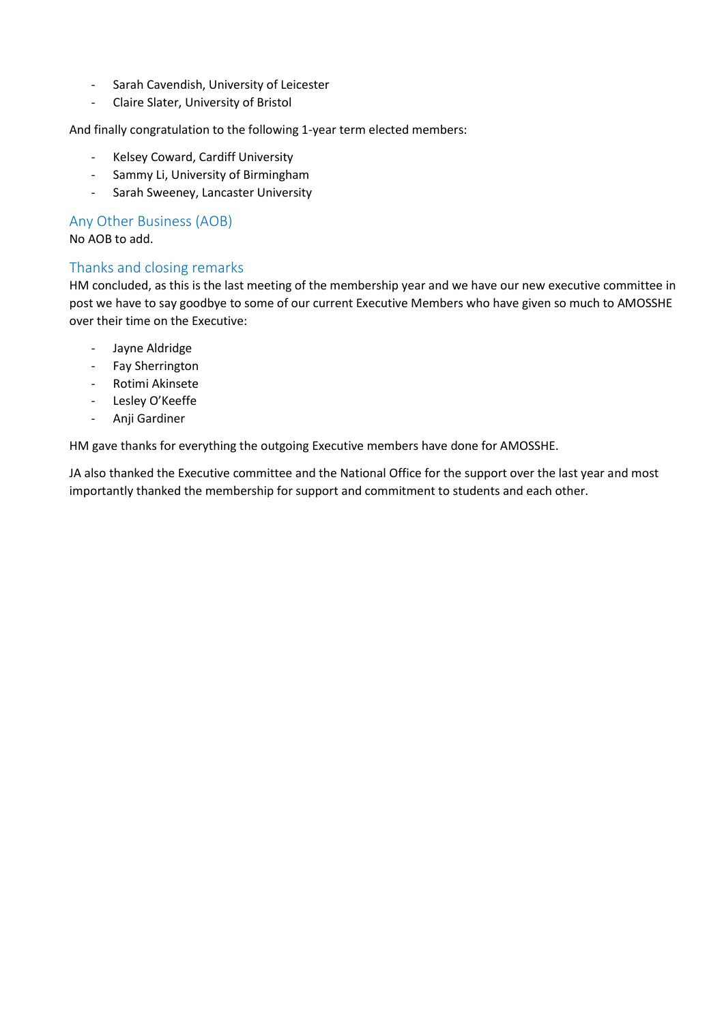- Sarah Cavendish, University of Leicester
- Claire Slater, University of Bristol

And finally congratulation to the following 1-year term elected members:

- Kelsey Coward, Cardiff University
- Sammy Li, University of Birmingham
- Sarah Sweeney, Lancaster University

### Any Other Business (AOB)

No AOB to add.

# Thanks and closing remarks

HM concluded, as this is the last meeting of the membership year and we have our new executive committee in post we have to say goodbye to some of our current Executive Members who have given so much to AMOSSHE over their time on the Executive:

- Jayne Aldridge
- Fay Sherrington
- Rotimi Akinsete
- Lesley O'Keeffe
- Anji Gardiner

HM gave thanks for everything the outgoing Executive members have done for AMOSSHE.

JA also thanked the Executive committee and the National Office for the support over the last year and most importantly thanked the membership for support and commitment to students and each other.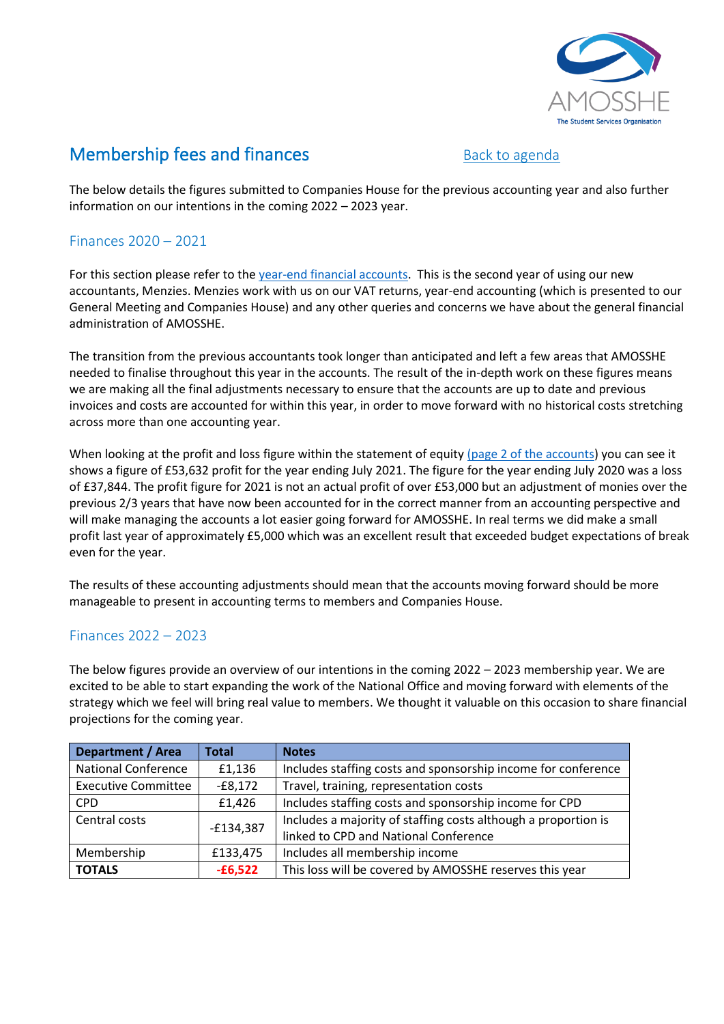

# <span id="page-4-0"></span>**Membership fees and finances** [Back to agenda](#page-0-0)

The below details the figures submitted to Companies House for the previous accounting year and also further information on our intentions in the coming 2022 – 2023 year.

# <span id="page-4-1"></span>Finances 2020 – 2021

For this section please refer to the [year-end financial accounts.](#page-7-0) This is the second year of using our new accountants, Menzies. Menzies work with us on our VAT returns, year-end accounting (which is presented to our General Meeting and Companies House) and any other queries and concerns we have about the general financial administration of AMOSSHE.

The transition from the previous accountants took longer than anticipated and left a few areas that AMOSSHE needed to finalise throughout this year in the accounts. The result of the in-depth work on these figures means we are making all the final adjustments necessary to ensure that the accounts are up to date and previous invoices and costs are accounted for within this year, in order to move forward with no historical costs stretching across more than one accounting year.

When looking at the profit and loss figure within the statement of equity [\(page 2 of the accounts\)](#page-8-0) you can see it shows a figure of £53,632 profit for the year ending July 2021. The figure for the year ending July 2020 was a loss of £37,844. The profit figure for 2021 is not an actual profit of over £53,000 but an adjustment of monies over the previous 2/3 years that have now been accounted for in the correct manner from an accounting perspective and will make managing the accounts a lot easier going forward for AMOSSHE. In real terms we did make a small profit last year of approximately £5,000 which was an excellent result that exceeded budget expectations of break even for the year.

The results of these accounting adjustments should mean that the accounts moving forward should be more manageable to present in accounting terms to members and Companies House.

# Finances 2022 – 2023

The below figures provide an overview of our intentions in the coming 2022 – 2023 membership year. We are excited to be able to start expanding the work of the National Office and moving forward with elements of the strategy which we feel will bring real value to members. We thought it valuable on this occasion to share financial projections for the coming year.

| Department / Area            | Total     | <b>Notes</b>                                                   |
|------------------------------|-----------|----------------------------------------------------------------|
| <b>National Conference</b>   | £1,136    | Includes staffing costs and sponsorship income for conference  |
| <b>Executive Committee</b>   | $-E8,172$ | Travel, training, representation costs                         |
| <b>CPD</b>                   | £1,426    | Includes staffing costs and sponsorship income for CPD         |
| Central costs<br>$-£134,387$ |           | Includes a majority of staffing costs although a proportion is |
|                              |           | linked to CPD and National Conference                          |
| Membership                   | £133,475  | Includes all membership income                                 |
| <b>TOTALS</b>                | $-£6,522$ | This loss will be covered by AMOSSHE reserves this year        |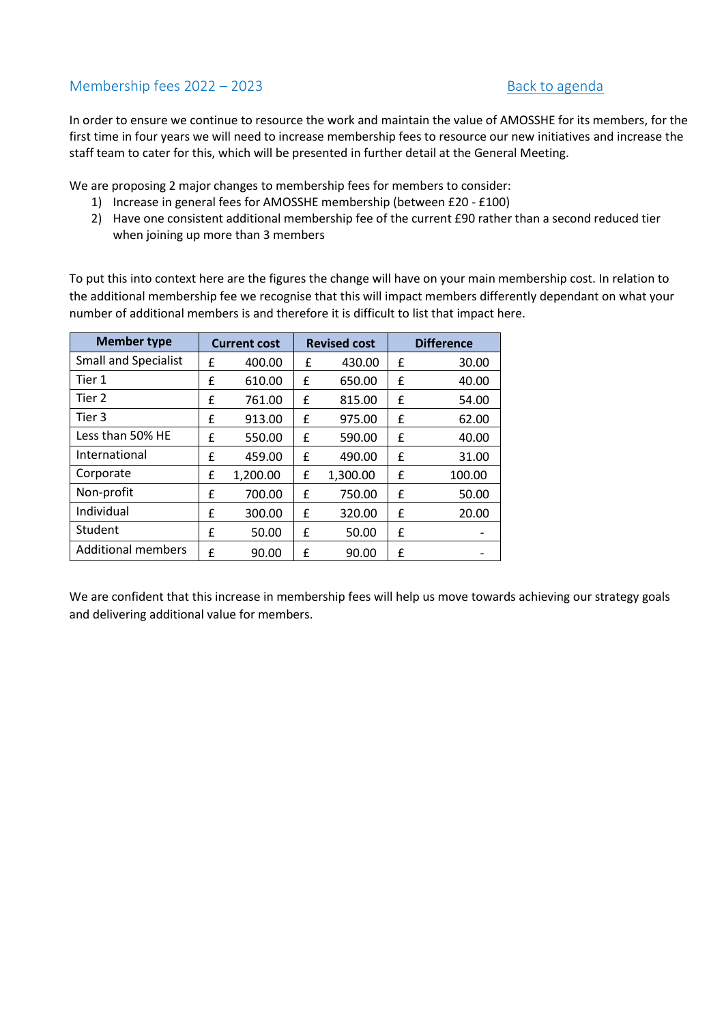# <span id="page-5-0"></span>Membership fees 2022 – 2023 [Back to agenda](#page-0-0)

In order to ensure we continue to resource the work and maintain the value of AMOSSHE for its members, for the first time in four years we will need to increase membership fees to resource our new initiatives and increase the staff team to cater for this, which will be presented in further detail at the General Meeting.

We are proposing 2 major changes to membership fees for members to consider:

- 1) Increase in general fees for AMOSSHE membership (between £20 £100)
- 2) Have one consistent additional membership fee of the current £90 rather than a second reduced tier when joining up more than 3 members

To put this into context here are the figures the change will have on your main membership cost. In relation to the additional membership fee we recognise that this will impact members differently dependant on what your number of additional members is and therefore it is difficult to list that impact here.

| <b>Member type</b>          |   | <b>Current cost</b> |   |          |   | <b>Revised cost</b> |  | <b>Difference</b> |
|-----------------------------|---|---------------------|---|----------|---|---------------------|--|-------------------|
| <b>Small and Specialist</b> | £ | 400.00              | £ | 430.00   | £ | 30.00               |  |                   |
| Tier 1                      | f | 610.00              | £ | 650.00   | £ | 40.00               |  |                   |
| Tier 2                      | £ | 761.00              | £ | 815.00   | £ | 54.00               |  |                   |
| Tier 3                      | £ | 913.00              | £ | 975.00   | £ | 62.00               |  |                   |
| Less than 50% HE            | f | 550.00              | £ | 590.00   | £ | 40.00               |  |                   |
| International               | f | 459.00              | £ | 490.00   | £ | 31.00               |  |                   |
| Corporate                   | £ | 1,200.00            | £ | 1,300.00 | £ | 100.00              |  |                   |
| Non-profit                  | f | 700.00              | £ | 750.00   | £ | 50.00               |  |                   |
| Individual                  | £ | 300.00              | f | 320.00   | £ | 20.00               |  |                   |
| Student                     | £ | 50.00               | £ | 50.00    | £ |                     |  |                   |
| <b>Additional members</b>   | f | 90.00               | £ | 90.00    | £ |                     |  |                   |

We are confident that this increase in membership fees will help us move towards achieving our strategy goals and delivering additional value for members.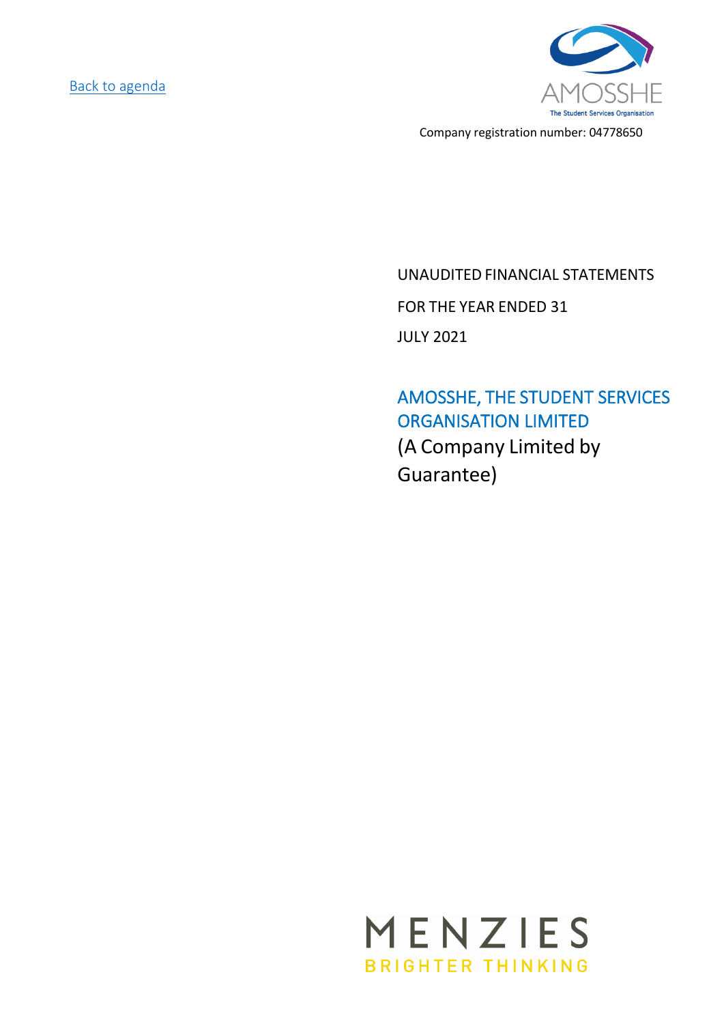[Back to agenda](#page-0-0)



Company registration number: 04778650

# UNAUDITED FINANCIAL STATEMENTS FOR THE YEAR ENDED 31 JULY 2021

AMOSSHE, THE STUDENT SERVICES ORGANISATION LIMITED (A Company Limited by Guarantee)

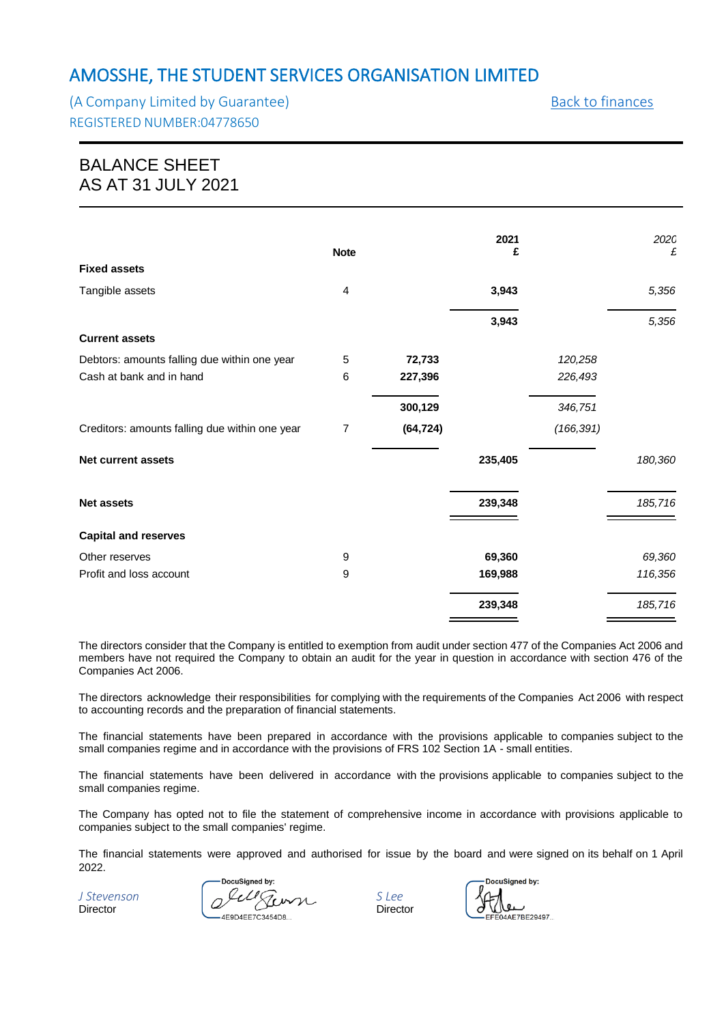<span id="page-7-0"></span>(A Company Limited by Guarantee) and the state of the [Back to finances](#page-4-1) REGISTERED NUMBER:04778650

# BALANCE SHEET AS AT 31 JULY 2021

|                                                | <b>Note</b> |           | 2021<br>£ |            | 202C<br>£ |
|------------------------------------------------|-------------|-----------|-----------|------------|-----------|
| <b>Fixed assets</b>                            |             |           |           |            |           |
| Tangible assets                                | 4           |           | 3,943     |            | 5,356     |
|                                                |             |           | 3,943     |            | 5,356     |
| <b>Current assets</b>                          |             |           |           |            |           |
| Debtors: amounts falling due within one year   | 5           | 72,733    |           | 120,258    |           |
| Cash at bank and in hand                       | 6           | 227,396   |           | 226,493    |           |
|                                                |             | 300,129   |           | 346,751    |           |
| Creditors: amounts falling due within one year | 7           | (64, 724) |           | (166, 391) |           |
| <b>Net current assets</b>                      |             |           | 235,405   |            | 180,360   |
| <b>Net assets</b>                              |             |           | 239,348   |            | 185,716   |
| <b>Capital and reserves</b>                    |             |           |           |            |           |
| Other reserves                                 | 9           |           | 69,360    |            | 69,360    |
| Profit and loss account                        | 9           |           | 169,988   |            | 116,356   |
|                                                |             |           | 239,348   |            | 185,716   |

The directors consider that the Company is entitled to exemption from audit under section 477 of the Companies Act 2006 and members have not required the Company to obtain an audit for the year in question in accordance with section 476 of the Companies Act 2006.

The directors acknowledge their responsibilities for complying with the requirements of the Companies Act 2006 with respect to accounting records and the preparation of financial statements.

The financial statements have been prepared in accordance with the provisions applicable to companies subject to the small companies regime and in accordance with the provisions of FRS 102 Section 1A - small entities.

The financial statements have been delivered in accordance with the provisions applicable to companies subject to the small companies regime.

The Company has opted not to file the statement of comprehensive income in accordance with provisions applicable to companies subject to the small companies' regime.

The financial statements were approved and authorised for issue by the board and were signed on its behalf on 1 April 2022.

DocuSigned by: *J Stevenson S Lee* Director **Director Director** 

DocuSigned by:  $\triangle$ F7RF29497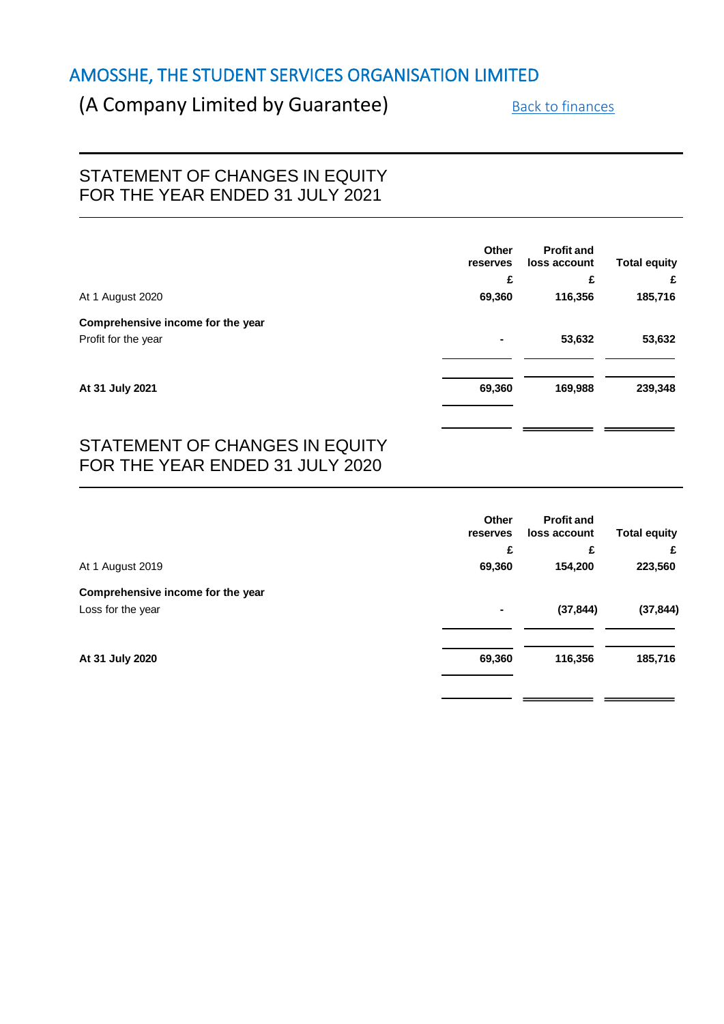# <span id="page-8-0"></span>(A Company Limited by Guarantee) [Back to finances](#page-4-1)

# STATEMENT OF CHANGES IN EQUITY FOR THE YEAR ENDED 31 JULY 2021

|                                   | Other<br>reserves | <b>Profit and</b><br>loss account | <b>Total equity</b> |
|-----------------------------------|-------------------|-----------------------------------|---------------------|
|                                   | £                 | £                                 | £                   |
| At 1 August 2020                  | 69,360            | 116,356                           | 185,716             |
| Comprehensive income for the year |                   |                                   |                     |
| Profit for the year               | $\blacksquare$    | 53,632                            | 53,632              |
|                                   |                   |                                   |                     |
| At 31 July 2021                   | 69,360            | 169,988                           | 239,348             |
|                                   |                   |                                   |                     |

# STATEMENT OF CHANGES IN EQUITY FOR THE YEAR ENDED 31 JULY 2020

|                                   | <b>Other</b><br>reserves | <b>Profit and</b><br>loss account | <b>Total equity</b> |
|-----------------------------------|--------------------------|-----------------------------------|---------------------|
|                                   | £                        | £                                 | £                   |
| At 1 August 2019                  | 69,360                   | 154,200                           | 223,560             |
| Comprehensive income for the year |                          |                                   |                     |
| Loss for the year                 | $\blacksquare$           | (37, 844)                         | (37, 844)           |
|                                   |                          |                                   |                     |
| At 31 July 2020                   | 69,360                   | 116,356                           | 185,716             |
|                                   |                          |                                   |                     |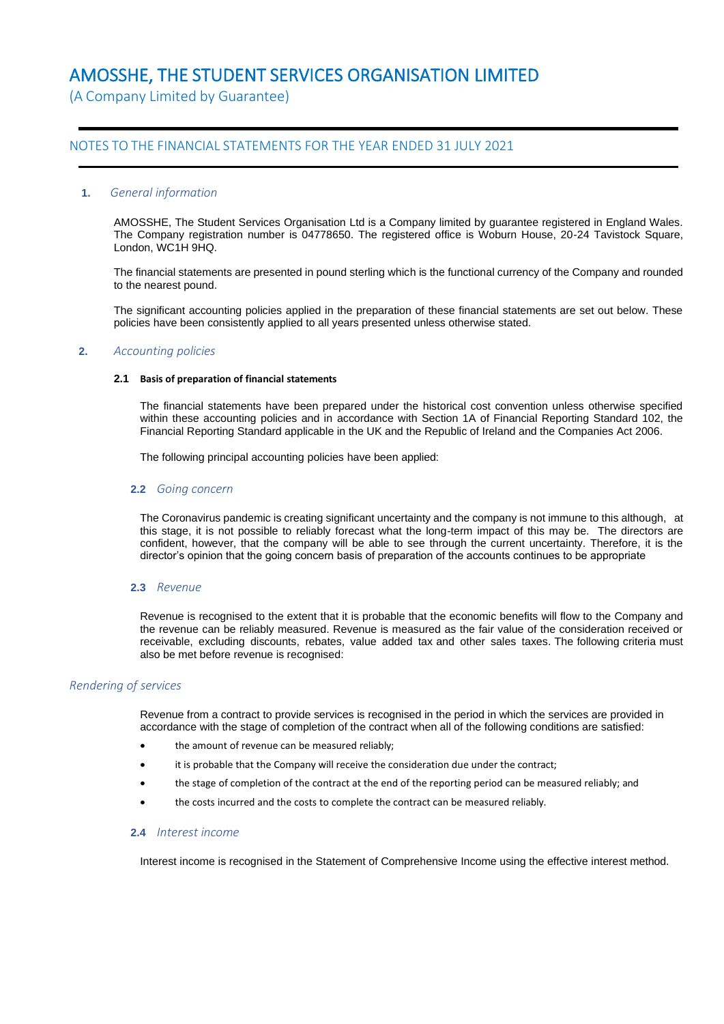(A Company Limited by Guarantee)

### NOTES TO THE FINANCIAL STATEMENTS FOR THE YEAR ENDED 31 JULY 2021

#### **1.** *General information*

AMOSSHE, The Student Services Organisation Ltd is a Company limited by guarantee registered in England Wales. The Company registration number is 04778650. The registered office is Woburn House, 20-24 Tavistock Square, London, WC1H 9HQ.

The financial statements are presented in pound sterling which is the functional currency of the Company and rounded to the nearest pound.

The significant accounting policies applied in the preparation of these financial statements are set out below. These policies have been consistently applied to all years presented unless otherwise stated.

#### **2.** *Accounting policies*

#### **2.1 Basis of preparation of financial statements**

The financial statements have been prepared under the historical cost convention unless otherwise specified within these accounting policies and in accordance with Section 1A of Financial Reporting Standard 102, the Financial Reporting Standard applicable in the UK and the Republic of Ireland and the Companies Act 2006.

The following principal accounting policies have been applied:

#### **2.2** *Going concern*

The Coronavirus pandemic is creating significant uncertainty and the company is not immune to this although, at this stage, it is not possible to reliably forecast what the long-term impact of this may be. The directors are confident, however, that the company will be able to see through the current uncertainty. Therefore, it is the director's opinion that the going concern basis of preparation of the accounts continues to be appropriate

#### **2.3** *Revenue*

Revenue is recognised to the extent that it is probable that the economic benefits will flow to the Company and the revenue can be reliably measured. Revenue is measured as the fair value of the consideration received or receivable, excluding discounts, rebates, value added tax and other sales taxes. The following criteria must also be met before revenue is recognised:

#### *Rendering of services*

Revenue from a contract to provide services is recognised in the period in which the services are provided in accordance with the stage of completion of the contract when all of the following conditions are satisfied:

- the amount of revenue can be measured reliably;
- it is probable that the Company will receive the consideration due under the contract;
- the stage of completion of the contract at the end of the reporting period can be measured reliably; and
- the costs incurred and the costs to complete the contract can be measured reliably.

#### **2.4** *Interest income*

Interest income is recognised in the Statement of Comprehensive Income using the effective interest method.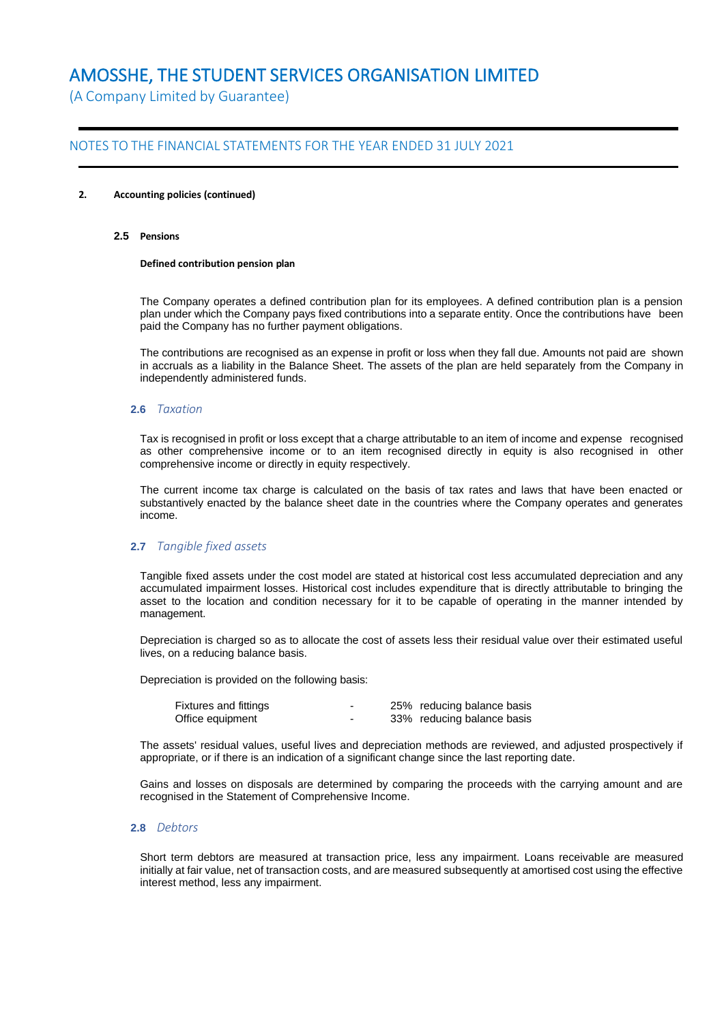(A Company Limited by Guarantee)

### NOTES TO THE FINANCIAL STATEMENTS FOR THE YEAR ENDED 31 JULY 2021

#### **2. Accounting policies (continued)**

#### **2.5 Pensions**

#### **Defined contribution pension plan**

The Company operates a defined contribution plan for its employees. A defined contribution plan is a pension plan under which the Company pays fixed contributions into a separate entity. Once the contributions have been paid the Company has no further payment obligations.

The contributions are recognised as an expense in profit or loss when they fall due. Amounts not paid are shown in accruals as a liability in the Balance Sheet. The assets of the plan are held separately from the Company in independently administered funds.

#### **2.6** *Taxation*

Tax is recognised in profit or loss except that a charge attributable to an item of income and expense recognised as other comprehensive income or to an item recognised directly in equity is also recognised in other comprehensive income or directly in equity respectively.

The current income tax charge is calculated on the basis of tax rates and laws that have been enacted or substantively enacted by the balance sheet date in the countries where the Company operates and generates income.

#### **2.7** *Tangible fixed assets*

Tangible fixed assets under the cost model are stated at historical cost less accumulated depreciation and any accumulated impairment losses. Historical cost includes expenditure that is directly attributable to bringing the asset to the location and condition necessary for it to be capable of operating in the manner intended by management.

Depreciation is charged so as to allocate the cost of assets less their residual value over their estimated useful lives, on a reducing balance basis.

Depreciation is provided on the following basis:

| Fixtures and fittings | - | 25% reducing balance basis |
|-----------------------|---|----------------------------|
| Office equipment      | - | 33% reducing balance basis |

The assets' residual values, useful lives and depreciation methods are reviewed, and adjusted prospectively if appropriate, or if there is an indication of a significant change since the last reporting date.

Gains and losses on disposals are determined by comparing the proceeds with the carrying amount and are recognised in the Statement of Comprehensive Income.

#### **2.8** *Debtors*

Short term debtors are measured at transaction price, less any impairment. Loans receivable are measured initially at fair value, net of transaction costs, and are measured subsequently at amortised cost using the effective interest method, less any impairment.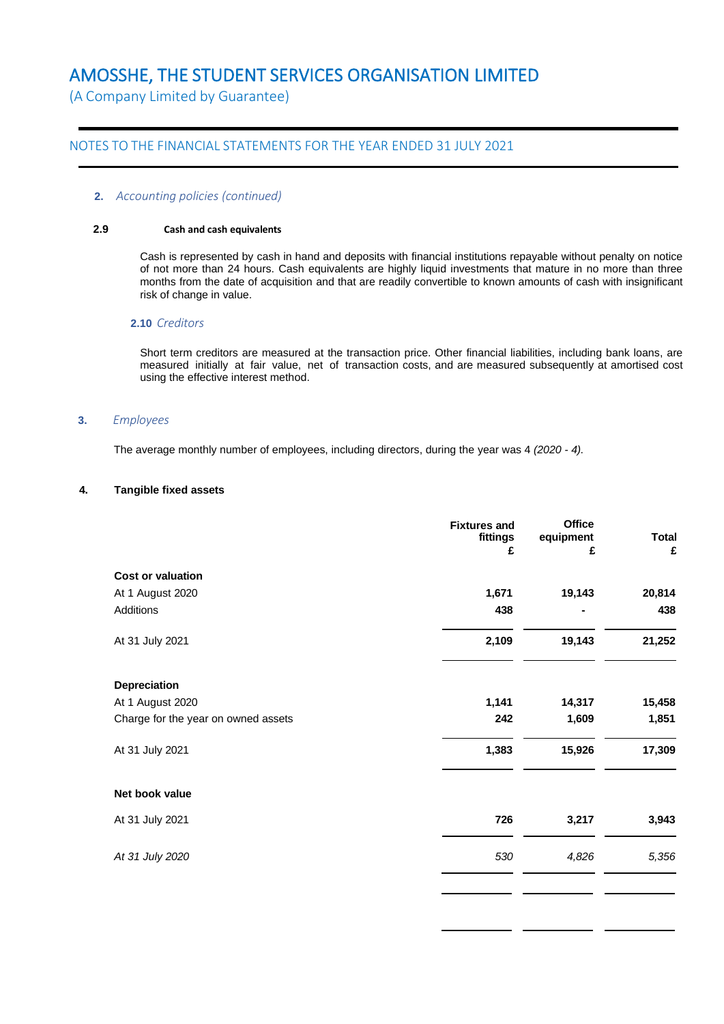(A Company Limited by Guarantee)

### NOTES TO THE FINANCIAL STATEMENTS FOR THE YEAR ENDED 31 JULY 2021

#### **2.** *Accounting policies (continued)*

#### **2.9 Cash and cash equivalents**

Cash is represented by cash in hand and deposits with financial institutions repayable without penalty on notice of not more than 24 hours. Cash equivalents are highly liquid investments that mature in no more than three months from the date of acquisition and that are readily convertible to known amounts of cash with insignificant risk of change in value.

#### **2.10** *Creditors*

Short term creditors are measured at the transaction price. Other financial liabilities, including bank loans, are measured initially at fair value, net of transaction costs, and are measured subsequently at amortised cost using the effective interest method.

#### **3.** *Employees*

The average monthly number of employees, including directors, during the year was 4 *(2020 - 4)*.

#### **4. Tangible fixed assets**

|                                     | <b>Fixtures and</b><br>fittings<br>£ | <b>Office</b><br>equipment<br>£ | <b>Total</b><br>£ |
|-------------------------------------|--------------------------------------|---------------------------------|-------------------|
| <b>Cost or valuation</b>            |                                      |                                 |                   |
| At 1 August 2020                    | 1,671                                | 19,143                          | 20,814            |
| Additions                           | 438                                  |                                 | 438               |
| At 31 July 2021                     | 2,109                                | 19,143                          | 21,252            |
| Depreciation                        |                                      |                                 |                   |
| At 1 August 2020                    | 1,141                                | 14,317                          | 15,458            |
| Charge for the year on owned assets | 242                                  | 1,609                           | 1,851             |
| At 31 July 2021                     | 1,383                                | 15,926                          | 17,309            |
| Net book value                      |                                      |                                 |                   |
| At 31 July 2021                     | 726                                  | 3,217                           | 3,943             |
| At 31 July 2020                     | 530                                  | 4,826                           | 5,356             |
|                                     |                                      |                                 |                   |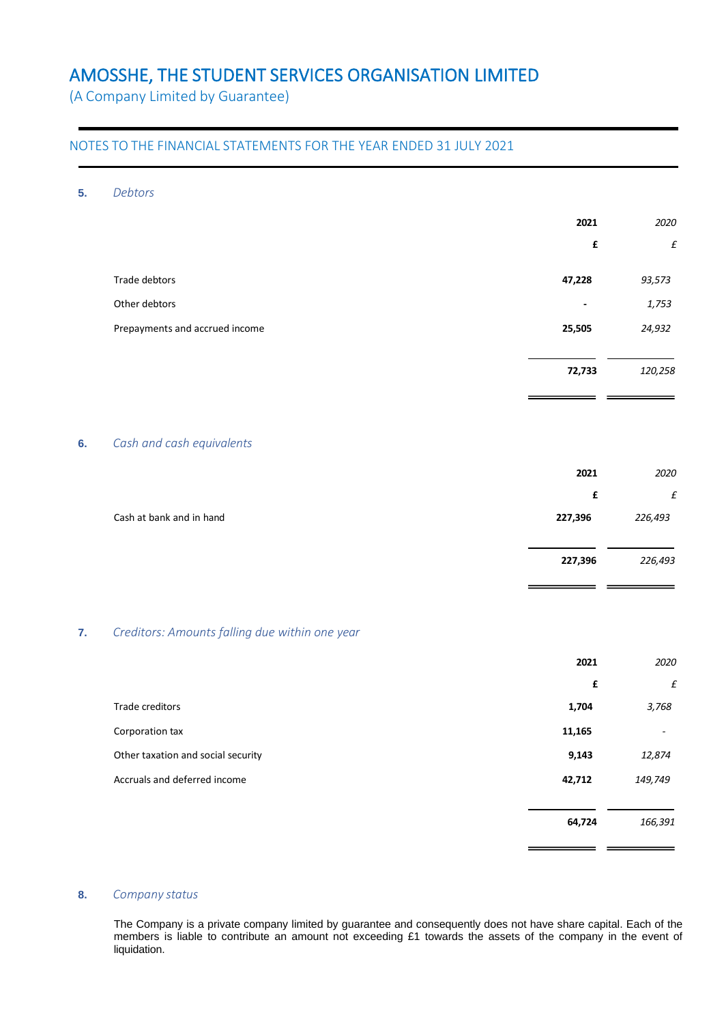(A Company Limited by Guarantee)

### NOTES TO THE FINANCIAL STATEMENTS FOR THE YEAR ENDED 31 JULY 2021

#### **5.** *Debtors*

| 2021                     | 2020    |
|--------------------------|---------|
| £                        | £       |
| 47,228                   | 93,573  |
| $\overline{\phantom{a}}$ | 1,753   |
| 25,505                   | 24,932  |
|                          |         |
| 72,733                   | 120,258 |
|                          |         |

 $=$   $=$ 

#### **6.** *Cash and cash equivalents*

|                          | 2021    | 2020    |
|--------------------------|---------|---------|
|                          | £       | £       |
| Cash at bank and in hand | 227,396 | 226,493 |
|                          |         |         |
|                          | 227,396 | 226,493 |
|                          |         |         |

### **7.** *Creditors: Amounts falling due within one year*

|                                    | 2021   | 2020                     |
|------------------------------------|--------|--------------------------|
|                                    | £      | $\pounds$                |
| Trade creditors                    | 1,704  | 3,768                    |
| Corporation tax                    | 11,165 | $\overline{\phantom{a}}$ |
| Other taxation and social security | 9,143  | 12,874                   |
| Accruals and deferred income       | 42,712 | 149,749                  |
|                                    |        |                          |
|                                    | 64,724 | 166,391                  |
|                                    |        |                          |

#### **8.** *Company status*

The Company is a private company limited by guarantee and consequently does not have share capital. Each of the members is liable to contribute an amount not exceeding £1 towards the assets of the company in the event of liquidation.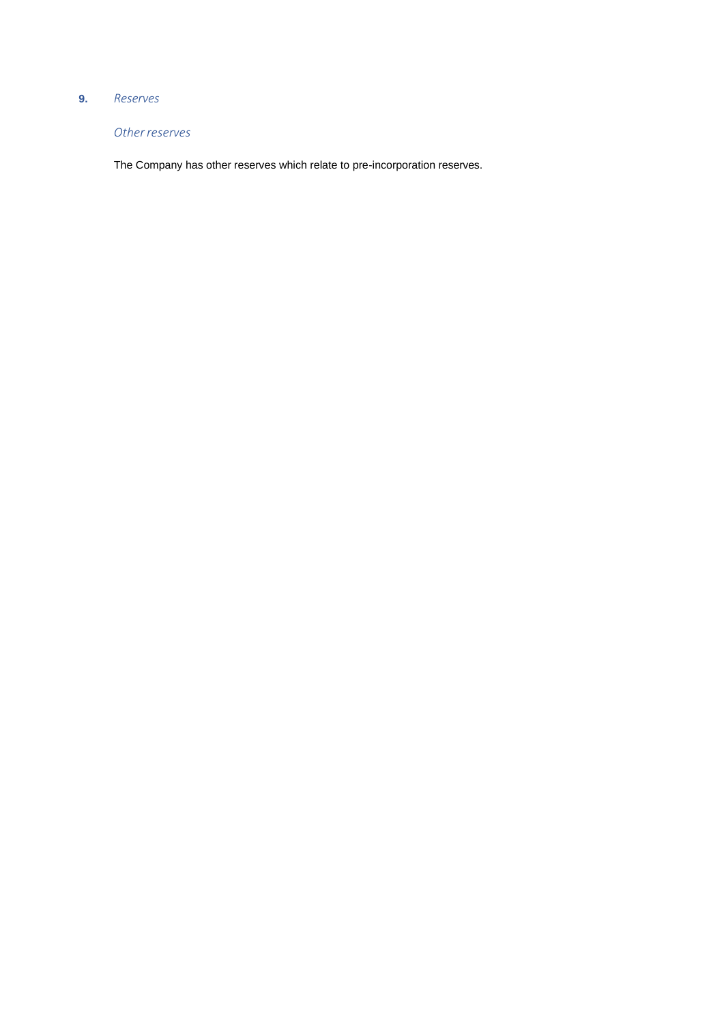### **9.** *Reserves*

### *Otherreserves*

The Company has other reserves which relate to pre-incorporation reserves.